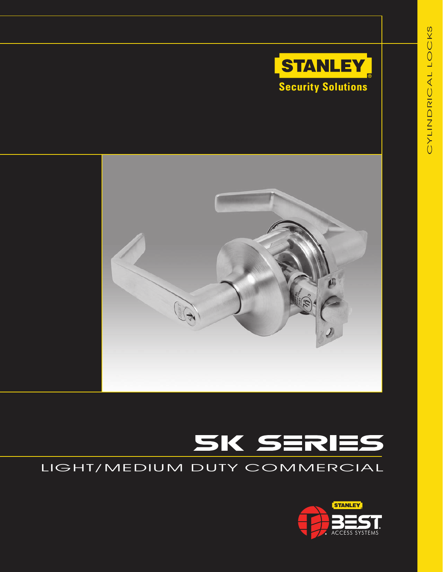





# LIGHT/MEDIUM DUTY COMMERCIAL

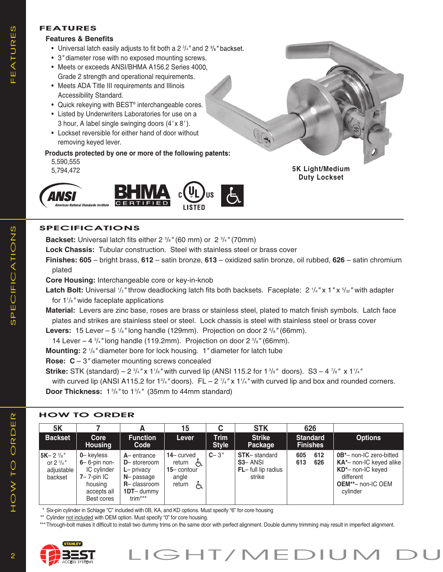# **FEATURES**

#### **Features & Benefits**

- Universal latch easily adjusts to fit both a 2 3 /4*"* and 2 3 /8*"* backset.
- 3*"* diameter rose with no exposed mounting screws.
- Meets or exceeds ANSI/BHMA A156.2 Series 4000, Grade 2 strength and operational requirements.
- Meets ADA Title III requirements and Illinois Accessibility Standard.
- Quick rekeying with BEST<sup>®</sup> interchangeable cores.
- Listed by Underwriters Laboratories for use on a 3 hour, A label single swinging doors (4*'* x 8*'* ).
- Lockset reversible for either hand of door without removing keyed lever.
- Products protected by one or more of the following patents:
	- 5,590,555

5,794,472



# **SPECIFICATIONS**

**Backset:** Universal latch fits either 2  $\frac{3}{8}$ " (60 mm) or 2  $\frac{3}{4}$ " (70mm)

**Lock Chassis:** Tubular construction. Steel with stainless steel or brass cover

**Finishes: 605** – bright brass, **612** – satin bronze, **613** – oxidized satin bronze, oil rubbed, **626** – satin chromium plated

**5K Light/Medium Duty Lockset**

**Core Housing:** Interchangeable core or key-in-knob

**Latch Bolt:** Universal  $1/2$ " throw deadlocking latch fits both backsets. Faceplate: 2  $1/4$ " x 1 " x  $5/32$ " with adapter for 11 /8*"* wide faceplate applications

**Material:** Levers are zinc base, roses are brass or stainless steel, plated to match finish symbols. Latch face plates and strikes are stainless steel or steel. Lock chassis is steel with stainless steel or brass cover

Levers: 15 Lever – 5  $\frac{1}{8}$ " long handle (129mm). Projection on door 2  $\frac{5}{8}$ " (66mm).

14 Lever – 4 3 /4*"* long handle (119.2mm). Projection on door 2 5 /8*"* (66mm).

**Mounting:** 2 1 /8*"* diameter bore for lock housing. 1*"* diameter for latch tube

**Rose: C** – 3*"* diameter mounting screws concealed

 ${\bf Strike:}$  STK (standard) – 2  $^3\!/4}$ " x 1'/s" with curved lip (ANSI 115.2 for 1  $^3\!/$ s" doors). S3 – 4  $^7\!/$ s" x 1'/4"

with curved lip (ANSI A115.2 for 1<sup>3</sup>/<sub>4</sub>" doors). FL – 2<sup>-1</sup>/<sub>4</sub>" x 1<sup>1</sup>/<sub>4</sub>" with curved lip and box and rounded corners. **Door Thickness:** 1 <sup>3</sup> /8*"* to 13 /4*"* (35mm to 44mm standard)

# **HOW TO ORDER**

| <b>5K</b>                                                              |                                                                                                        |                                                                                                                | 15                                                                     |                             | <b>STK</b>                                                            | 626                                |                                                                                                                                     |
|------------------------------------------------------------------------|--------------------------------------------------------------------------------------------------------|----------------------------------------------------------------------------------------------------------------|------------------------------------------------------------------------|-----------------------------|-----------------------------------------------------------------------|------------------------------------|-------------------------------------------------------------------------------------------------------------------------------------|
| <b>Backset</b>                                                         | Core<br><b>Housing</b>                                                                                 | <b>Function</b><br>Code                                                                                        | Lever                                                                  | <b>Trim</b><br><b>Style</b> | <b>Strike</b><br>Package                                              | <b>Standard</b><br><b>Finishes</b> | <b>Options</b>                                                                                                                      |
| $5K - 2\frac{3}{8}$ "<br>or $2 \frac{3}{4}$ "<br>adjustable<br>backset | 0-keyless<br>$6-6$ -pin non-<br>IC cylinder<br>$7 - 7$ -pin IC<br>housing<br>accepts all<br>Best cores | $A$ – entrance<br>D-storeroom<br>$L$ – privacy<br>$N$ – passage<br>$R -$ classroom<br>$1DT$ - dummy<br>trim*** | $14 -$ curved<br>return<br>ሌ<br>$15 -$ contour<br>angle<br>return<br>よ | $C - 3''$                   | <b>STK-standard</b><br><b>S3-ANSI</b><br>FL-full lip radius<br>strike | 612<br>605<br>613<br>626           | $0B^*$ – non-IC zero-bitted<br>$KA*$ - non-IC keyed alike<br>KD*- non-IC keyed<br>different<br><b>OEM**- non-IC OEM</b><br>cylinder |

Six-pin cylinder in Schlage "C" included with 0B, KA, and KD options. Must specify "6" for core housing

\*\* Cylinder not included with OEM option. Must specify "0" for core housing.

\*\*\* Through-bolt makes it difficult to install two dummy trims on the same door with perfect alignment. Double dummy trimming may result in imperfect alignment.



HOW TO ORDER

HOW TO ORDER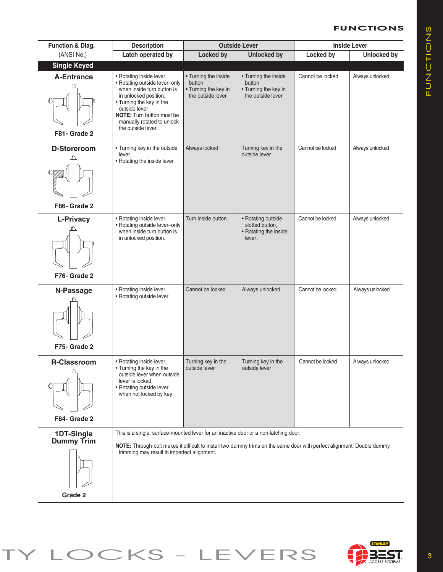# **FUNCTIONS**

| <b>Function &amp; Diag.</b>                | <b>Description</b>                                                                                                                                                                                                                                            | <b>Outside Lever</b>                                                        |                                                                             | <b>Inside Lever</b> |                    |  |  |  |
|--------------------------------------------|---------------------------------------------------------------------------------------------------------------------------------------------------------------------------------------------------------------------------------------------------------------|-----------------------------------------------------------------------------|-----------------------------------------------------------------------------|---------------------|--------------------|--|--|--|
| (ANSI No.)                                 | Latch operated by                                                                                                                                                                                                                                             | <b>Locked by</b>                                                            | <b>Unlocked by</b>                                                          | Locked by           | <b>Unlocked by</b> |  |  |  |
| <b>Single Keyed</b>                        |                                                                                                                                                                                                                                                               |                                                                             |                                                                             |                     |                    |  |  |  |
| <b>A-Entrance</b><br>F81- Grade 2          | • Rotating inside lever,<br>• Rotating outside lever-only<br>when inside turn button is<br>in unlocked position,<br>• Turning the key in the<br>outside lever<br><b>NOTE:</b> Turn button must be<br>manually rotated to unlock<br>the outside lever.         | • Turning the inside<br>button<br>• Turning the key in<br>the outside lever | • Turning the inside<br>button<br>• Turning the key in<br>the outside lever | Cannot be locked    | Always unlocked    |  |  |  |
| <b>D-Storeroom</b>                         | • Turning key in the outside<br>lever,                                                                                                                                                                                                                        | Always locked                                                               | Turning key in the<br>outside lever                                         | Cannot be locked    | Always unlocked    |  |  |  |
| F86- Grade 2                               | • Rotating the inside lever                                                                                                                                                                                                                                   |                                                                             |                                                                             |                     |                    |  |  |  |
|                                            |                                                                                                                                                                                                                                                               |                                                                             |                                                                             |                     |                    |  |  |  |
| <b>L-Privacy</b>                           | • Rotating inside lever,<br>• Rotating outside lever-only<br>when inside turn button is<br>in unlocked position.                                                                                                                                              | Turn inside button                                                          | • Rotating outside<br>slotted button,<br>• Rotating the inside<br>lever.    | Cannot be locked    | Always unlocked    |  |  |  |
| F76- Grade 2                               |                                                                                                                                                                                                                                                               |                                                                             |                                                                             |                     |                    |  |  |  |
| N-Passage<br>F75- Grade 2                  | • Rotating inside lever,<br>• Rotating outside lever.                                                                                                                                                                                                         | Cannot be locked                                                            | Always unlocked                                                             | Cannot be locked    | Always unlocked    |  |  |  |
| <b>R-Classroom</b><br>F84- Grade 2         | • Rotating inside lever,<br>• Turning the key in the<br>outside lever when outside<br>lever is locked,<br>• Rotating outside lever<br>when not locked by key.                                                                                                 | Turning key in the<br>outside lever                                         | Turning key in the<br>outside lever                                         | Cannot be locked    | Always unlocked    |  |  |  |
| 1DT-Single<br><b>Dummy Trim</b><br>Grade 2 | This is a single, surface-mounted lever for an inactive door or a non-latching door.<br>NOTE: Through-bolt makes it difficult to install two dummy trims on the same door with perfect alignment. Double dummy<br>trimming may result in imperfect alignment. |                                                                             |                                                                             |                     |                    |  |  |  |